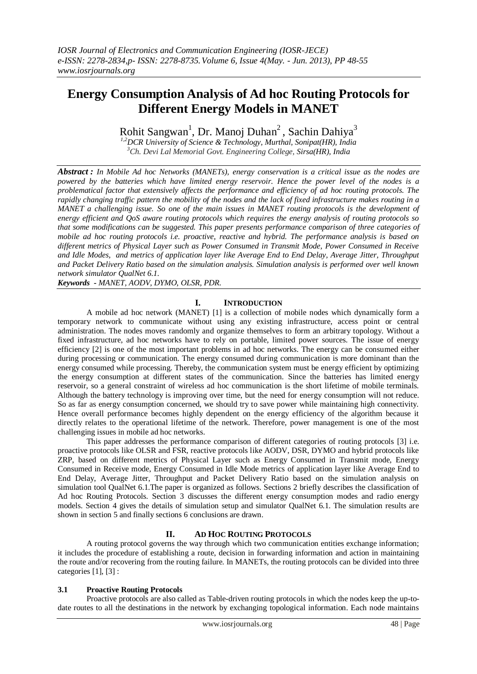# **Energy Consumption Analysis of Ad hoc Routing Protocols for Different Energy Models in MANET**

Rohit Sangwan<sup>1</sup>, Dr. Manoj Duhan<sup>2</sup>, Sachin Dahiya<sup>3</sup>

*1,2DCR University of Science & Technology, Murthal, Sonipat(HR), India <sup>3</sup>Ch. Devi Lal Memorial Govt. Engineering College, Sirsa(HR), India*

*Abstract : In Mobile Ad hoc Networks (MANETs), energy conservation is a critical issue as the nodes are powered by the batteries which have limited energy reservoir. Hence the power level of the nodes is a problematical factor that extensively affects the performance and efficiency of ad hoc routing protocols. The rapidly changing traffic pattern the mobility of the nodes and the lack of fixed infrastructure makes routing in a MANET a challenging issue. So one of the main issues in MANET routing protocols is the development of energy efficient and QoS aware routing protocols which requires the energy analysis of routing protocols so that some modifications can be suggested. This paper presents performance comparison of three categories of mobile ad hoc routing protocols i.e. proactive, reactive and hybrid. The performance analysis is based on different metrics of Physical Layer such as Power Consumed in Transmit Mode, Power Consumed in Receive and Idle Modes, and metrics of application layer like Average End to End Delay, Average Jitter, Throughput and Packet Delivery Ratio based on the simulation analysis. Simulation analysis is performed over well known network simulator QualNet 6.1.*

*Keywords - MANET, AODV, DYMO, OLSR, PDR.*

# **I. INTRODUCTION**

A mobile ad hoc network (MANET) [1] is a collection of mobile nodes which dynamically form a temporary network to communicate without using any existing infrastructure, access point or central administration. The nodes moves randomly and organize themselves to form an arbitrary topology. Without a fixed infrastructure, ad hoc networks have to rely on portable, limited power sources. The issue of energy efficiency [2] is one of the most important problems in ad hoc networks. The energy can be consumed either during processing or communication. The energy consumed during communication is more dominant than the energy consumed while processing. Thereby, the communication system must be energy efficient by optimizing the energy consumption at different states of the communication. Since the batteries has limited energy reservoir, so a general constraint of wireless ad hoc communication is the short lifetime of mobile terminals. Although the battery technology is improving over time, but the need for energy consumption will not reduce. So as far as energy consumption concerned, we should try to save power while maintaining high connectivity. Hence overall performance becomes highly dependent on the energy efficiency of the algorithm because it directly relates to the operational lifetime of the network. Therefore, power management is one of the most challenging issues in mobile ad hoc networks.

This paper addresses the performance comparison of different categories of routing protocols [3] i.e. proactive protocols like OLSR and FSR, reactive protocols like AODV, DSR, DYMO and hybrid protocols like ZRP, based on different metrics of Physical Layer such as Energy Consumed in Transmit mode, Energy Consumed in Receive mode, Energy Consumed in Idle Mode metrics of application layer like Average End to End Delay, Average Jitter, Throughput and Packet Delivery Ratio based on the simulation analysis on simulation tool QualNet 6.1.The paper is organized as follows. Sections 2 briefly describes the classification of Ad hoc Routing Protocols. Section 3 discusses the different energy consumption modes and radio energy models. Section 4 gives the details of simulation setup and simulator QualNet 6.1. The simulation results are shown in section 5 and finally sections 6 conclusions are drawn.

#### **II. AD HOC ROUTING PROTOCOLS**

A routing protocol governs the way through which two communication entities exchange information; it includes the procedure of establishing a route, decision in forwarding information and action in maintaining the route and/or recovering from the routing failure. In MANETs, the routing protocols can be divided into three categories [1], [3] :

#### **3.1 Proactive Routing Protocols**

Proactive protocols are also called as Table-driven routing protocols in which the nodes keep the up-todate routes to all the destinations in the network by exchanging topological information. Each node maintains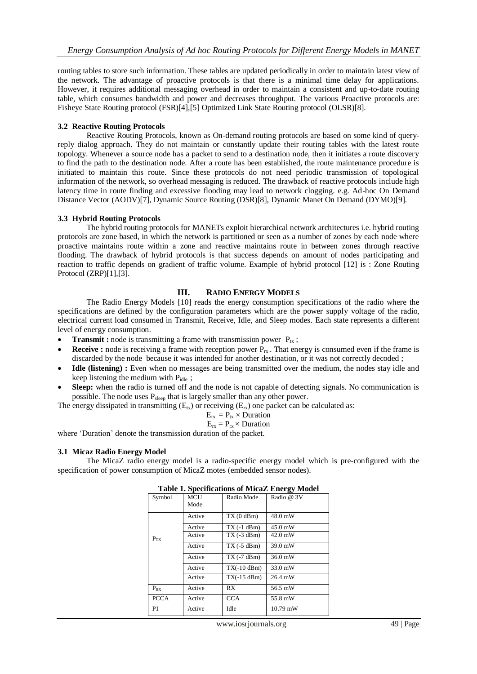routing tables to store such information. These tables are updated periodically in order to maintain latest view of the network. The advantage of proactive protocols is that there is a minimal time delay for applications. However, it requires additional messaging overhead in order to maintain a consistent and up-to-date routing table, which consumes bandwidth and power and decreases throughput. The various Proactive protocols are: Fisheye State Routing protocol (FSR)[4],[5] Optimized Link State Routing protocol (OLSR)[8].

#### **3.2 Reactive Routing Protocols**

Reactive Routing Protocols, known as On-demand routing protocols are based on some kind of queryreply dialog approach. They do not maintain or constantly update their routing tables with the latest route topology. Whenever a source node has a packet to send to a destination node, then it initiates a route discovery to find the path to the destination node. After a route has been established, the route maintenance procedure is initiated to maintain this route. Since these protocols do not need periodic transmission of topological information of the network, so overhead messaging is reduced. The drawback of reactive protocols include high latency time in route finding and excessive flooding may lead to network clogging. e.g. Ad-hoc On Demand Distance Vector (AODV)[7], Dynamic Source Routing (DSR)[8], Dynamic Manet On Demand (DYMO)[9].

#### **3.3 Hybrid Routing Protocols**

The hybrid routing protocols for MANETs exploit hierarchical network architectures i.e. hybrid routing protocols are zone based, in which the network is partitioned or seen as a number of zones by each node where proactive maintains route within a zone and reactive maintains route in between zones through reactive flooding. The drawback of hybrid protocols is that success depends on amount of nodes participating and reaction to traffic depends on gradient of traffic volume. Example of hybrid protocol [12] is : Zone Routing Protocol (ZRP)[1],[3].

#### **III. RADIO ENERGY MODELS**

The Radio Energy Models [10] reads the energy consumption specifications of the radio where the specifications are defined by the configuration parameters which are the power supply voltage of the radio, electrical current load consumed in Transmit, Receive, Idle, and Sleep modes. Each state represents a different level of energy consumption.

- **Transmit :** node is transmitting a frame with transmission power  $P_{tx}$ ;
- **Receive :** node is receiving a frame with reception power  $P_{rx}$ . That energy is consumed even if the frame is discarded by the node because it was intended for another destination, or it was not correctly decoded ;
- **Idle (listening) :** Even when no messages are being transmitted over the medium, the nodes stay idle and keep listening the medium with  $P_{idle}$ ;
- **Sleep:** when the radio is turned off and the node is not capable of detecting signals. No communication is possible. The node uses P<sub>sleep</sub> that is largely smaller than any other power.

The energy dissipated in transmitting  $(E_{tx})$  or receiving  $(E_{rx})$  one packet can be calculated as:

$$
E_{tx} = P_{tx} \times \text{Duration}
$$

$$
E_{rx} = P_{rx} \times \text{Duration}
$$

where 'Duration' denote the transmission duration of the packet.

#### **3.1 Micaz Radio Energy Model**

The MicaZ radio energy model is a radio-specific energy model which is pre-configured with the specification of power consumption of MicaZ motes (embedded sensor nodes).

| rabic respective attorns or initially like gy information |             |               |                   |  |
|-----------------------------------------------------------|-------------|---------------|-------------------|--|
| Symbol                                                    | MCU<br>Mode | Radio Mode    | Radio @ 3V        |  |
|                                                           |             |               |                   |  |
| $P_{TX}$                                                  | Active      | TX(0 dBm)     | 48.0 mW           |  |
|                                                           | Active      | $TX(-1 dBm)$  | 45.0 mW           |  |
|                                                           | Active      | $TX(-3 dBm)$  | $42.0 \text{ mW}$ |  |
|                                                           | Active      | $TX(-5 dBm)$  | 39.0 mW           |  |
|                                                           | Active      | $TX(-7 dBm)$  | 36.0 mW           |  |
|                                                           | Active      | $TX(-10 dBm)$ | 33.0 mW           |  |
|                                                           | Active      | $TX(-15 dBm)$ | 26.4 mW           |  |
| $P_{RX}$                                                  | Active      | RX            | 56.5 mW           |  |
| <b>PCCA</b>                                               | Active      | <b>CCA</b>    | 55.8 mW           |  |
| P <sub>1</sub>                                            | Active      | Idle          | $10.79$ mW        |  |

#### **Table 1. Specifications of MicaZ Energy Model**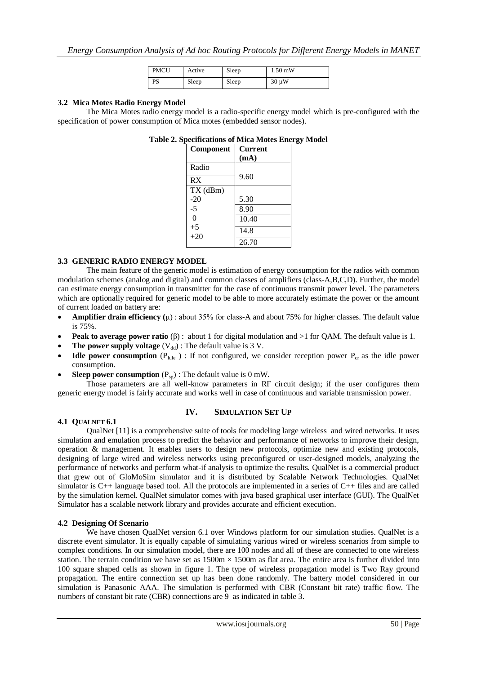| <b>PMCU</b> | Active | Sleep | $1.50$ mW  |
|-------------|--------|-------|------------|
| <b>PS</b>   | Sleep  | Sleep | $30 \mu W$ |

#### **3.2 Mica Motes Radio Energy Model**

The Mica Motes radio energy model is a radio-specific energy model which is pre-configured with the specification of power consumption of Mica motes (embedded sensor nodes).

#### **Table 2. Specifications of Mica Motes Energy Model**

| Component     | <b>Current</b> |
|---------------|----------------|
|               | (mA)           |
| Radio         |                |
| RX            | 9.60           |
| TX (dBm)      |                |
| $-20$         | 5.30           |
| -5            | 8.90           |
| $\Omega$      | 10.40          |
| $+5$<br>$+20$ | 14.8           |
|               | 26.70          |

#### **3.3 GENERIC RADIO ENERGY MODEL**

The main feature of the generic model is estimation of energy consumption for the radios with common modulation schemes (analog and digital) and common classes of amplifiers (class-A,B,C,D). Further, the model can estimate energy consumption in transmitter for the case of continuous transmit power level. The parameters which are optionally required for generic model to be able to more accurately estimate the power or the amount of current loaded on battery are:

- **Amplifier drain efficiency** ( $\mu$ ) : about 35% for class-A and about 75% for higher classes. The default value is 75%.
- **Peak to average power ratio** (β) : about 1 for digital modulation and >1 for QAM. The default value is 1.
- **The power supply voltage**  $(V_{dd})$ : The default value is 3 V.
- **Idle power consumption** ( $P_{\text{Idle}}$ ) : If not configured, we consider reception power  $P_{\text{cr}}$  as the idle power consumption.
- **Sleep power consumption**  $(P_{\text{sp}})$ : The default value is 0 mW.

Those parameters are all well-know parameters in RF circuit design; if the user configures them generic energy model is fairly accurate and works well in case of continuous and variable transmission power.

#### **IV. SIMULATION SET UP**

#### **4.1 QUALNET 6.1**

QualNet [11] is a comprehensive suite of tools for modeling large wireless and wired networks. It uses simulation and emulation process to predict the behavior and performance of networks to improve their design, operation & management. It enables users to design new protocols, optimize new and existing protocols, designing of large wired and wireless networks using preconfigured or user-designed models, analyzing the performance of networks and perform what-if analysis to optimize the results. QualNet is a commercial product that grew out of GloMoSim simulator and it is distributed by Scalable Network Technologies. QualNet simulator is C++ language based tool. All the protocols are implemented in a series of C++ files and are called by the simulation kernel. QualNet simulator comes with java based graphical user interface (GUI). The QualNet Simulator has a scalable network library and provides accurate and efficient execution.

#### **4.2 Designing Of Scenario**

We have chosen QualNet version 6.1 over Windows platform for our simulation studies. QualNet is a discrete event simulator. It is equally capable of simulating various wired or wireless scenarios from simple to complex conditions. In our simulation model, there are 100 nodes and all of these are connected to one wireless station. The terrain condition we have set as  $1500m \times 1500m$  as flat area. The entire area is further divided into 100 square shaped cells as shown in figure 1. The type of wireless propagation model is Two Ray ground propagation. The entire connection set up has been done randomly. The battery model considered in our simulation is Panasonic AAA. The simulation is performed with CBR (Constant bit rate) traffic flow. The numbers of constant bit rate (CBR) connections are 9 as indicated in table 3.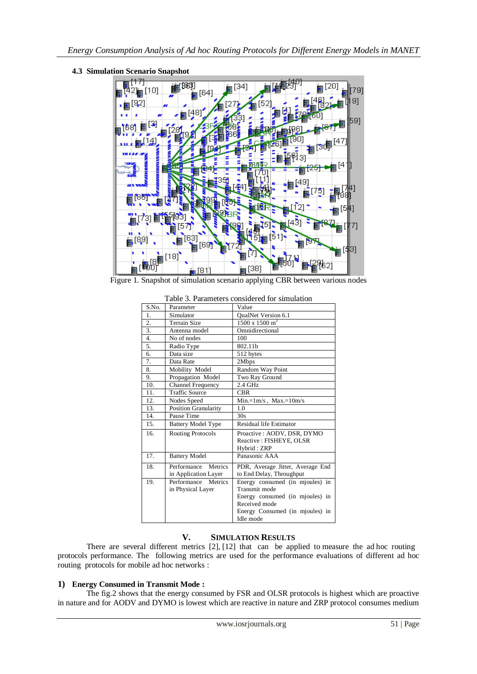

**4.3 Simulation Scenario Snapshot**

Figure 1. Snapshot of simulation scenario applying CBR between various nodes

| S.No. | Parameter                   | Value                            |
|-------|-----------------------------|----------------------------------|
| 1.    | Simulator                   | QualNet Version 6.1              |
| 2.    | <b>Terrain Size</b>         | $1500 \times 1500 \text{ m}^2$   |
| 3.    | Antenna model               | Omnidirectional                  |
| 4.    | No of nodes                 | 100                              |
| 5.    | Radio Type                  | 802.11b                          |
| 6.    | Data size                   | 512 bytes                        |
| 7.    | Data Rate                   | 2Mbps                            |
| 8.    | Mobility Model              | Random Way Point                 |
| 9.    | Propagation Model           | Two Ray Ground                   |
| 10.   | Channel Frequency           | 2.4 GHz                          |
| 11.   | <b>Traffic Source</b>       | <b>CBR</b>                       |
| 12.   | Nodes Speed                 | $Min = 1m/s$ , $Max = 10m/s$     |
| 13.   | <b>Position Granularity</b> | 1.0                              |
| 14.   | Pause Time                  | 30s                              |
| 15.   | <b>Battery Model Type</b>   | Residual life Estimator          |
| 16.   | <b>Routing Protocols</b>    | Proactive: AODV, DSR, DYMO       |
|       |                             | Reactive: FISHEYE, OLSR          |
|       |                             | Hybrid: ZRP                      |
| 17.   | <b>Battery Model</b>        | Panasonic AAA                    |
| 18.   | Performance<br>Metrics      | PDR, Average Jitter, Average End |
|       | in Application Layer        | to End Delay, Throughput         |
| 19.   | Performance Metrics         | Energy consumed (in mjoules) in  |
|       | in Physical Layer           | Transmit mode                    |
|       |                             | Energy consumed (in mjoules) in  |
|       |                             | Received mode                    |
|       |                             | Energy Consumed (in mjoules) in  |
|       |                             | Idle mode                        |

Table 3. Parameters considered for simulation

#### **V. SIMULATION RESULTS**

There are several different metrics [2], [12] that can be applied to measure the ad hoc routing protocols performance. The following metrics are used for the performance evaluations of different ad hoc routing protocols for mobile ad hoc networks :

# **1) Energy Consumed in Transmit Mode :**

The fig.2 shows that the energy consumed by FSR and OLSR protocols is highest which are proactive in nature and for AODV and DYMO is lowest which are reactive in nature and ZRP protocol consumes medium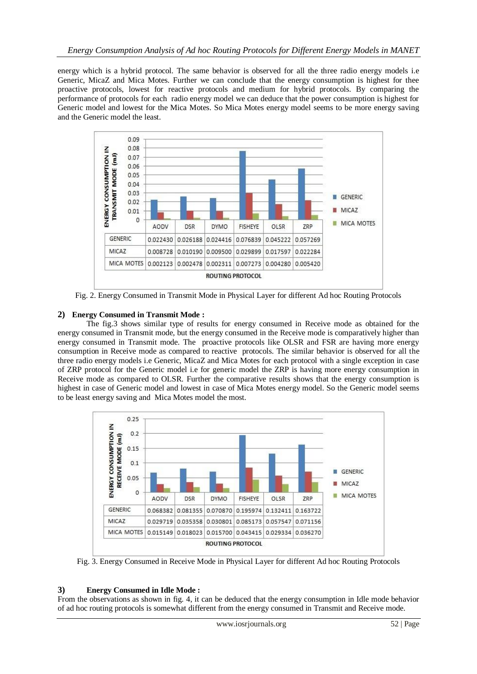energy which is a hybrid protocol. The same behavior is observed for all the three radio energy models i.e Generic, MicaZ and Mica Motes. Further we can conclude that the energy consumption is highest for thee proactive protocols, lowest for reactive protocols and medium for hybrid protocols. By comparing the performance of protocols for each radio energy model we can deduce that the power consumption is highest for Generic model and lowest for the Mica Motes. So Mica Motes energy model seems to be more energy saving and the Generic model the least.



Fig. 2. Energy Consumed in Transmit Mode in Physical Layer for different Ad hoc Routing Protocols

# **2) Energy Consumed in Transmit Mode :**

The fig.3 shows similar type of results for energy consumed in Receive mode as obtained for the energy consumed in Transmit mode, but the energy consumed in the Receive mode is comparatively higher than energy consumed in Transmit mode. The proactive protocols like OLSR and FSR are having more energy consumption in Receive mode as compared to reactive protocols. The similar behavior is observed for all the three radio energy models i.e Generic, MicaZ and Mica Motes for each protocol with a single exception in case of ZRP protocol for the Generic model i.e for generic model the ZRP is having more energy consumption in Receive mode as compared to OLSR. Further the comparative results shows that the energy consumption is highest in case of Generic model and lowest in case of Mica Motes energy model. So the Generic model seems to be least energy saving and Mica Motes model the most.



Fig. 3. Energy Consumed in Receive Mode in Physical Layer for different Ad hoc Routing Protocols

#### **3) Energy Consumed in Idle Mode :**

From the observations as shown in fig. 4, it can be deduced that the energy consumption in Idle mode behavior of ad hoc routing protocols is somewhat different from the energy consumed in Transmit and Receive mode.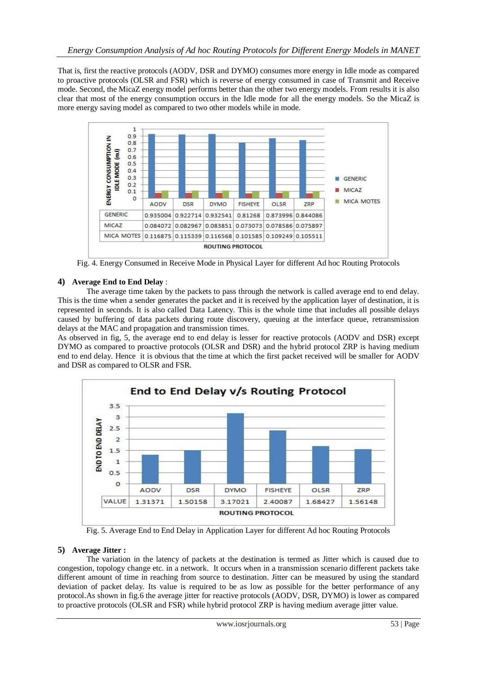That is, first the reactive protocols (AODV, DSR and DYMO) consumes more energy in Idle mode as compared to proactive protocols (OLSR and FSR) which is reverse of energy consumed in case of Transmit and Receive mode. Second, the MicaZ energy model performs better than the other two energy models. From results it is also clear that most of the energy consumption occurs in the Idle mode for all the energy models. So the MicaZ is more energy saving model as compared to two other models while in mode.



Fig. 4. Energy Consumed in Receive Mode in Physical Layer for different Ad hoc Routing Protocols

# **4) Average End to End Delay** :

The average time taken by the packets to pass through the network is called average end to end delay. This is the time when a sender generates the packet and it is received by the application layer of destination, it is represented in seconds. It is also called Data Latency. This is the whole time that includes all possible delays caused by buffering of data packets during route discovery, queuing at the interface queue, retransmission delays at the MAC and propagation and transmission times.

As observed in fig, 5, the average end to end delay is lesser for reactive protocols (AODV and DSR) except DYMO as compared to proactive protocols (OLSR and DSR) and the hybrid protocol ZRP is having medium end to end delay. Hence it is obvious that the time at which the first packet received will be smaller for AODV and DSR as compared to OLSR and FSR.



Fig. 5. Average End to End Delay in Application Layer for different Ad hoc Routing Protocols

#### **5) Average Jitter :**

The variation in the latency of packets at the destination is termed as Jitter which is caused due to congestion, topology change etc. in a network. It occurs when in a transmission scenario different packets take different amount of time in reaching from source to destination. Jitter can be measured by using the standard deviation of packet delay. Its value is required to be as low as possible for the better performance of any protocol.As shown in fig.6 the average jitter for reactive protocols (AODV, DSR, DYMO) is lower as compared to proactive protocols (OLSR and FSR) while hybrid protocol ZRP is having medium average jitter value.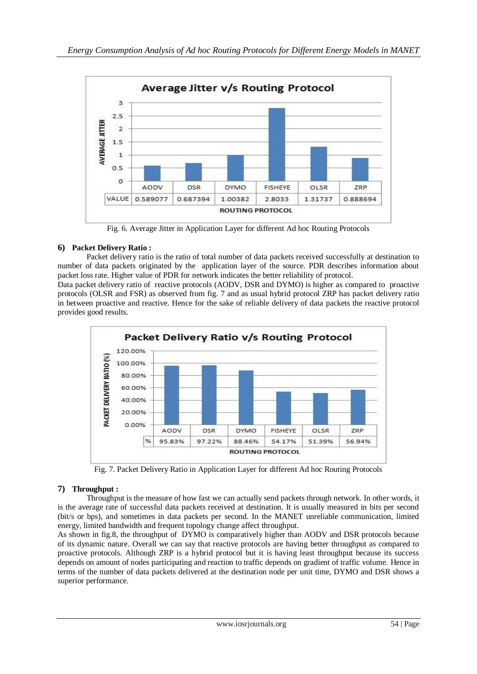

Fig. 6. Average Jitter in Application Layer for different Ad hoc Routing Protocols

# **6) Packet Delivery Ratio :**

Packet delivery ratio is the ratio of total number of data packets received successfully at destination to number of data packets originated by the application layer of the source. PDR describes information about packet loss rate. Higher value of PDR for network indicates the better reliability of protocol.

Data packet delivery ratio of reactive protocols (AODV, DSR and DYMO) is higher as compared to proactive protocols (OLSR and FSR) as observed from fig. 7 and as usual hybrid protocol ZRP has packet delivery ratio in between proactive and reactive. Hence for the sake of reliable delivery of data packets the reactive protocol provides good results.



Fig. 7. Packet Delivery Ratio in Application Layer for different Ad hoc Routing Protocols

# **7) Throughput :**

Throughput is the measure of how fast we can actually send packets through network. In other words, it is the average rate of successful data packets received at destination. It is usually measured in bits per second (bit/s or bps), and sometimes in data packets per second. In the MANET unreliable communication, limited energy, limited bandwidth and frequent topology change affect throughput.

As shown in fig.8, the throughput of DYMO is comparatively higher than AODV and DSR protocols because of its dynamic nature. Overall we can say that reactive protocols are having better throughput as compared to proactive protocols. Although ZRP is a hybrid protocol but it is having least throughput because its success depends on amount of nodes participating and reaction to traffic depends on gradient of traffic volume. Hence in terms of the number of data packets delivered at the destination node per unit time, DYMO and DSR shows a superior performance.